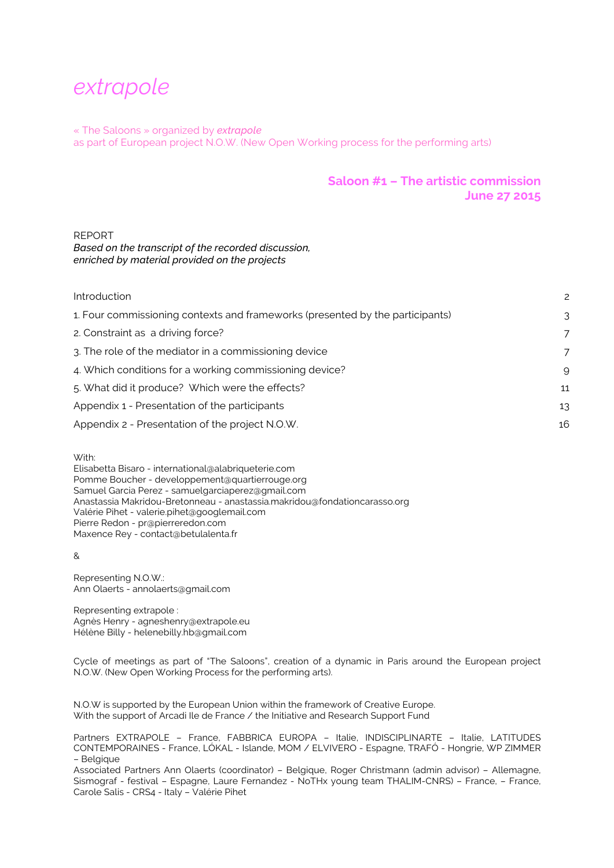# *extrapole*

« The Saloons » organized by *extrapole*  as part of European project N.O.W. (New Open Working process for the performing arts)

## **Saloon #1 – The artistic commission June 27 2015**

## REPORT

*Based on the transcript of the recorded discussion, enriched by material provided on the projects*

| Introduction                                                                  | 2  |
|-------------------------------------------------------------------------------|----|
| 1. Four commissioning contexts and frameworks (presented by the participants) | 3  |
| 2. Constraint as a driving force?                                             | 7  |
| 3. The role of the mediator in a commissioning device                         | 7  |
| 4. Which conditions for a working commissioning device?                       | g  |
| 5. What did it produce? Which were the effects?                               | 11 |
| Appendix 1 - Presentation of the participants                                 | 13 |
| Appendix 2 - Presentation of the project N.O.W.                               | 16 |
|                                                                               |    |

With:

Elisabetta Bisaro - international@alabriqueterie.com Pomme Boucher - developpement@quartierrouge.org Samuel Garcia Perez - samuelgarciaperez@gmail.com Anastassia Makridou-Bretonneau - anastassia.makridou@fondationcarasso.org Valérie Pihet - valerie.pihet@googlemail.com Pierre Redon - pr@pierreredon.com Maxence Rey - contact@betulalenta.fr

&

Representing N.O.W.: Ann Olaerts - annolaerts@gmail.com

Representing extrapole : Agnès Henry - agneshenry@extrapole.eu Hélène Billy - helenebilly.hb@gmail.com

Cycle of meetings as part of "The Saloons", creation of a dynamic in Paris around the European project N.O.W. (New Open Working Process for the performing arts).

N.O.W is supported by the European Union within the framework of Creative Europe. With the support of Arcadi Ile de France / the Initiative and Research Support Fund

Partners EXTRAPOLE – France, FABBRICA EUROPA – Italie, INDISCIPLINARTE – Italie, LATITUDES CONTEMPORAINES - France, LÓKAL - Islande, MOM / ELVIVERO - Espagne, TRAFÓ - Hongrie, WP ZIMMER – Belgique

Associated Partners Ann Olaerts (coordinator) – Belgique, Roger Christmann (admin advisor) – Allemagne, Sismograf - festival – Espagne, Laure Fernandez - NoTHx young team THALIM-CNRS) – France, – France, Carole Salis - CRS4 - Italy – Valérie Pihet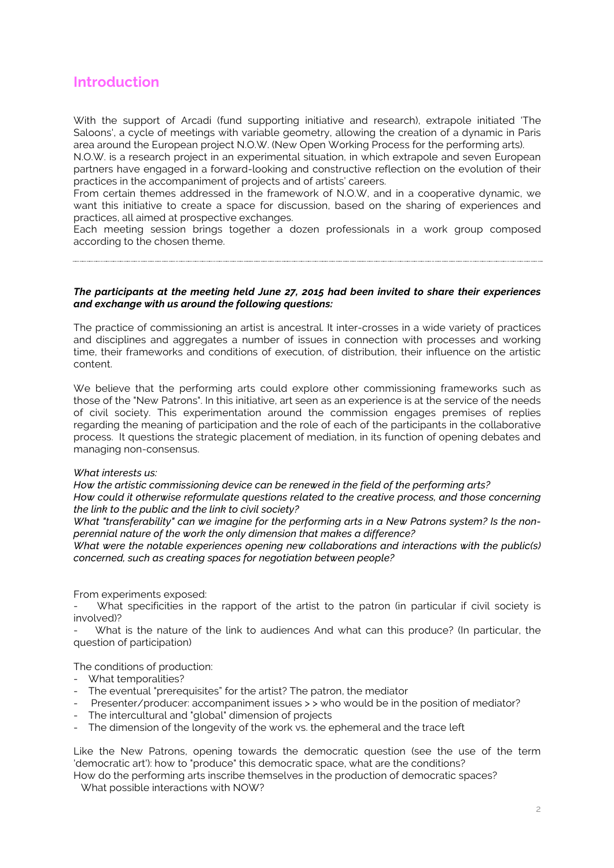## **Introduction**

With the support of Arcadi (fund supporting initiative and research), extrapole initiated 'The Saloons', a cycle of meetings with variable geometry, allowing the creation of a dynamic in Paris area around the European project N.O.W. (New Open Working Process for the performing arts).

N.O.W. is a research project in an experimental situation, in which extrapole and seven European partners have engaged in a forward-looking and constructive reflection on the evolution of their practices in the accompaniment of projects and of artists' careers.

From certain themes addressed in the framework of N.O.W, and in a cooperative dynamic, we want this initiative to create a space for discussion, based on the sharing of experiences and practices, all aimed at prospective exchanges.

Each meeting session brings together a dozen professionals in a work group composed according to the chosen theme.

## *The participants at the meeting held June 27, 2015 had been invited to share their experiences and exchange with us around the following questions:*

The practice of commissioning an artist is ancestral. It inter-crosses in a wide variety of practices and disciplines and aggregates a number of issues in connection with processes and working time, their frameworks and conditions of execution, of distribution, their influence on the artistic content.

We believe that the performing arts could explore other commissioning frameworks such as those of the "New Patrons". In this initiative, art seen as an experience is at the service of the needs of civil society. This experimentation around the commission engages premises of replies regarding the meaning of participation and the role of each of the participants in the collaborative process. It questions the strategic placement of mediation, in its function of opening debates and managing non-consensus.

## *What interests us:*

*How the artistic commissioning device can be renewed in the field of the performing arts? How could it otherwise reformulate questions related to the creative process, and those concerning the link to the public and the link to civil society?*

*What "transferability" can we imagine for the performing arts in a New Patrons system? Is the nonperennial nature of the work the only dimension that makes a difference?*

*What were the notable experiences opening new collaborations and interactions with the public(s) concerned, such as creating spaces for negotiation between people?*

From experiments exposed:

What specificities in the rapport of the artist to the patron (in particular if civil society is involved)?

What is the nature of the link to audiences And what can this produce? (In particular, the question of participation)

The conditions of production:

- What temporalities?
- The eventual "prerequisites" for the artist? The patron, the mediator
- Presenter/producer: accompaniment issues > > who would be in the position of mediator?
- The intercultural and "global" dimension of projects
- The dimension of the longevity of the work vs. the ephemeral and the trace left

Like the New Patrons, opening towards the democratic question (see the use of the term 'democratic art'): how to "produce" this democratic space, what are the conditions?

How do the performing arts inscribe themselves in the production of democratic spaces? What possible interactions with NOW?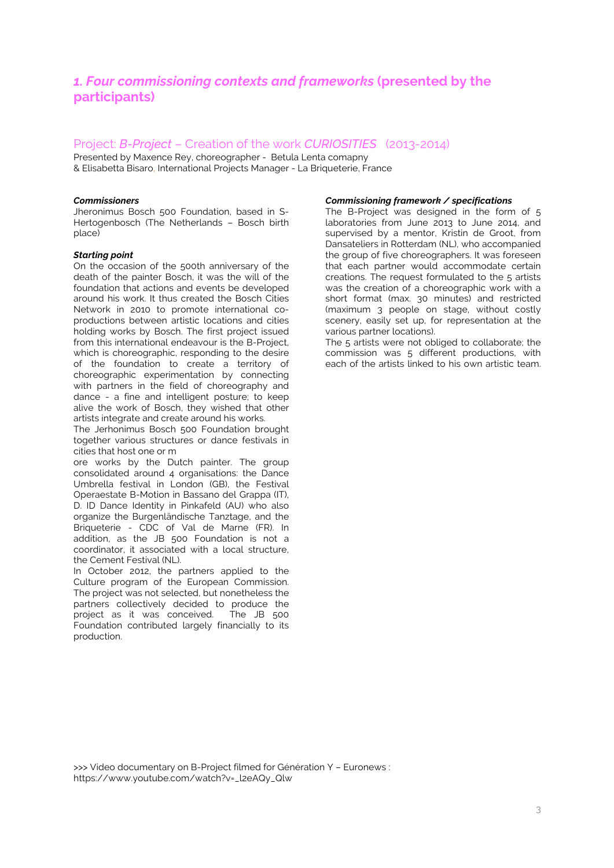## *1. Four commissioning contexts and frameworks* **(presented by the participants)**

## Project: *B-Project* – Creation of the work *CURIOSITIES* (2013-2014)

Presented by Maxence Rey, choreographer - Betula Lenta comapny & Elisabetta Bisaro, International Projects Manager - La Briqueterie, France

### *Commissioners*

Jheronimus Bosch 500 Foundation, based in S-Hertogenbosch (The Netherlands – Bosch birth place)

#### *Starting point*

On the occasion of the 500th anniversary of the death of the painter Bosch, it was the will of the foundation that actions and events be developed around his work. It thus created the Bosch Cities Network in 2010 to promote international coproductions between artistic locations and cities holding works by Bosch. The first project issued from this international endeavour is the B-Project, which is choreographic, responding to the desire of the foundation to create a territory of choreographic experimentation by connecting with partners in the field of choreography and dance - a fine and intelligent posture; to keep alive the work of Bosch, they wished that other artists integrate and create around his works.

The Jerhonimus Bosch 500 Foundation brought together various structures or dance festivals in cities that host one or m

ore works by the Dutch painter. The group consolidated around 4 organisations: the Dance Umbrella festival in London (GB), the Festival Operaestate B-Motion in Bassano del Grappa (IT), D. ID Dance Identity in Pinkafeld (AU) who also organize the Burgenländische Tanztage, and the Briqueterie - CDC of Val de Marne (FR). In addition, as the JB 500 Foundation is not a coordinator, it associated with a local structure, the Cement Festival (NL).

In October 2012, the partners applied to the Culture program of the European Commission. The project was not selected, but nonetheless the partners collectively decided to produce the project as it was conceived. The JB 500 Foundation contributed largely financially to its production.

### *Commissioning framework / specifications*

The B-Project was designed in the form of 5 laboratories from June 2013 to June 2014, and supervised by a mentor, Kristin de Groot, from Dansateliers in Rotterdam (NL), who accompanied the group of five choreographers. It was foreseen that each partner would accommodate certain creations. The request formulated to the 5 artists was the creation of a choreographic work with a short format (max. 30 minutes) and restricted (maximum 3 people on stage, without costly scenery, easily set up, for representation at the various partner locations).

The 5 artists were not obliged to collaborate; the commission was 5 different productions, with each of the artists linked to his own artistic team.

>>> Video documentary on B-Project filmed for Génération Y – Euronews : https://www.youtube.com/watch?v=\_l2eAQy\_Qlw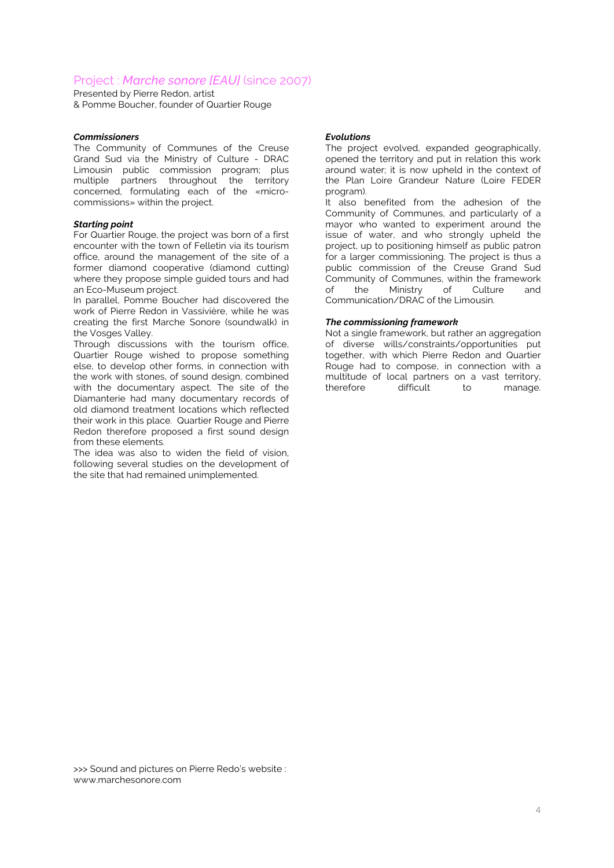## Project : *Marche sonore [EAU]* (since 2007)

Presented by Pierre Redon, artist & Pomme Boucher, founder of Quartier Rouge

### *Commissioners*

The Community of Communes of the Creuse Grand Sud via the Ministry of Culture - DRAC Limousin public commission program; plus multiple partners throughout the territory concerned, formulating each of the «microcommissions» within the project.

### *Starting point*

For Quartier Rouge, the project was born of a first encounter with the town of Felletin via its tourism office, around the management of the site of a former diamond cooperative (diamond cutting) where they propose simple guided tours and had an Eco-Museum project.

In parallel, Pomme Boucher had discovered the work of Pierre Redon in Vassivière, while he was creating the first Marche Sonore (soundwalk) in the Vosges Valley.

Through discussions with the tourism office, Quartier Rouge wished to propose something else, to develop other forms, in connection with the work with stones, of sound design, combined with the documentary aspect. The site of the Diamanterie had many documentary records of old diamond treatment locations which reflected their work in this place. Quartier Rouge and Pierre Redon therefore proposed a first sound design from these elements.

The idea was also to widen the field of vision, following several studies on the development of the site that had remained unimplemented.

### *Evolutions*

The project evolved, expanded geographically, opened the territory and put in relation this work around water; it is now upheld in the context of the Plan Loire Grandeur Nature (Loire FEDER program).

It also benefited from the adhesion of the Community of Communes, and particularly of a mayor who wanted to experiment around the issue of water, and who strongly upheld the project, up to positioning himself as public patron for a larger commissioning. The project is thus a public commission of the Creuse Grand Sud Community of Communes, within the framework<br>of the Ministry of Culture and of the Ministry of Culture and Communication/DRAC of the Limousin.

### *The commissioning framework*

Not a single framework, but rather an aggregation of diverse wills/constraints/opportunities put together, with which Pierre Redon and Quartier Rouge had to compose, in connection with a multitude of local partners on a vast territory,<br>therefore difficult to manage. therefore difficult to manage.

>>> Sound and pictures on Pierre Redo's website : www.marchesonore.com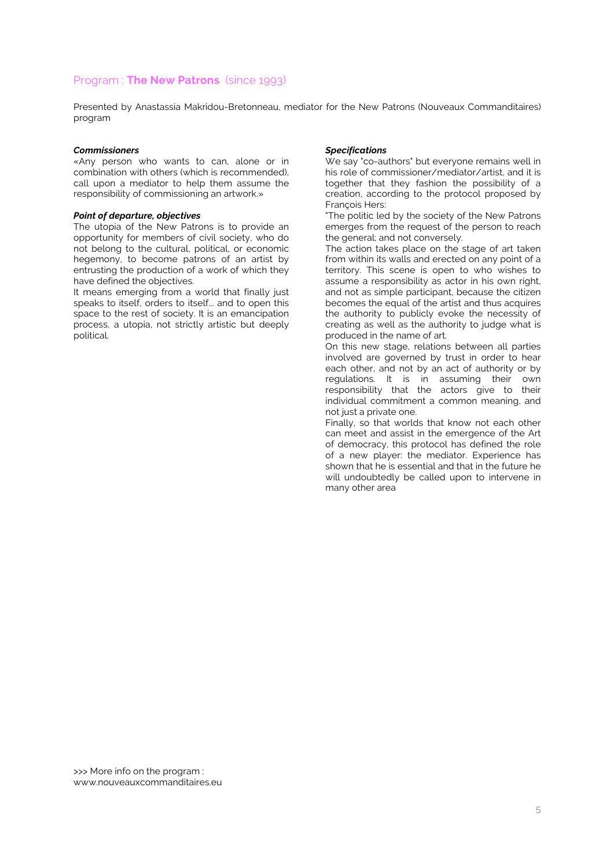## Program : **The New Patrons** (since 1993)

Presented by Anastassia Makridou-Bretonneau, mediator for the New Patrons (Nouveaux Commanditaires) program

#### *Commissioners*

«Any person who wants to can, alone or in combination with others (which is recommended), call upon a mediator to help them assume the responsibility of commissioning an artwork.»

#### *Point of departure, objectives*

The utopia of the New Patrons is to provide an opportunity for members of civil society, who do not belong to the cultural, political, or economic hegemony, to become patrons of an artist by entrusting the production of a work of which they have defined the objectives.

It means emerging from a world that finally just speaks to itself, orders to itself... and to open this space to the rest of society. It is an emancipation process, a utopia, not strictly artistic but deeply political.

### *Specifications*

We say "co-authors" but everyone remains well in his role of commissioner/mediator/artist, and it is together that they fashion the possibility of a creation, according to the protocol proposed by François Hers:

"The politic led by the society of the New Patrons emerges from the request of the person to reach the general; and not conversely.

The action takes place on the stage of art taken from within its walls and erected on any point of a territory. This scene is open to who wishes to assume a responsibility as actor in his own right. and not as simple participant, because the citizen becomes the equal of the artist and thus acquires the authority to publicly evoke the necessity of creating as well as the authority to judge what is produced in the name of art.

On this new stage, relations between all parties involved are governed by trust in order to hear each other, and not by an act of authority or by regulations. It is in assuming their own responsibility that the actors give to their individual commitment a common meaning, and not just a private one.

Finally, so that worlds that know not each other can meet and assist in the emergence of the Art of democracy, this protocol has defined the role of a new player: the mediator. Experience has shown that he is essential and that in the future he will undoubtedly be called upon to intervene in many other area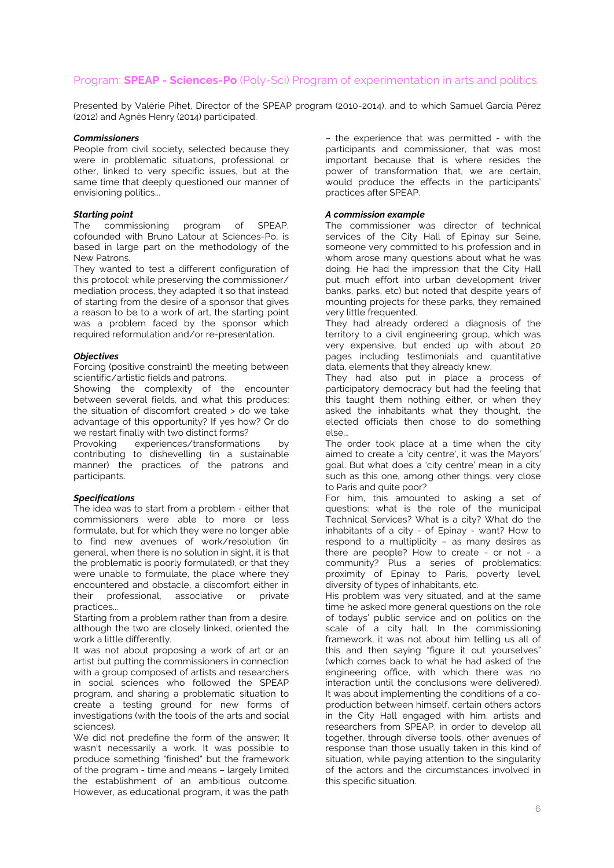## Program: **SPEAP - Sciences-Po** (Poly-Sci) Program of experimentation in arts and politics

Presented by Valérie Pihet, Director of the SPEAP program (2010-2014), and to which Samuel García Pérez (2012) and Agnès Henry (2014) participated.

#### *Commissioners*

People from civil society, selected because they were in problematic situations, professional or other, linked to very specific issues, but at the same time that deeply questioned our manner of envisioning politics...

### *Starting point*

The commissioning program of SPEAP, cofounded with Bruno Latour at Sciences-Po, is based in large part on the methodology of the New Patrons.

They wanted to test a different configuration of this protocol: while preserving the commissioner/ mediation process, they adapted it so that instead of starting from the desire of a sponsor that gives a reason to be to a work of art, the starting point was a problem faced by the sponsor which required reformulation and/or re-presentation.

### *Objectives*

Forcing (positive constraint) the meeting between scientific/artistic fields and patrons.

Showing the complexity of the encounter between several fields, and what this produces: the situation of discomfort created > do we take advantage of this opportunity? If yes how? Or do we restart finally with two distinct forms?

Provoking experiences/transformations by contributing to dishevelling (in a sustainable manner) the practices of the patrons and participants.

## *Specifications*

The idea was to start from a problem - either that commissioners were able to more or less formulate, but for which they were no longer able to find new avenues of work/resolution (in general, when there is no solution in sight, it is that the problematic is poorly formulated), or that they were unable to formulate, the place where they encountered and obstacle, a discomfort either in their professional, associative or private practices...

Starting from a problem rather than from a desire, although the two are closely linked, oriented the work a little differently.

It was not about proposing a work of art or an artist but putting the commissioners in connection with a group composed of artists and researchers in social sciences who followed the SPEAP program, and sharing a problematic situation to create a testing ground for new forms of investigations (with the tools of the arts and social sciences).

We did not predefine the form of the answer; It wasn't necessarily a work. It was possible to produce something "finished" but the framework of the program - time and means – largely limited the establishment of an ambitious outcome. However, as educational program, it was the path – the experience that was permitted - with the participants and commissioner, that was most important because that is where resides the power of transformation that, we are certain, would produce the effects in the participants' practices after SPEAP.

### *A commission example*

The commissioner was director of technical services of the City Hall of Epinay sur Seine, someone very committed to his profession and in whom arose many questions about what he was doing. He had the impression that the City Hall put much effort into urban development (river banks, parks, etc) but noted that despite years of mounting projects for these parks, they remained very little frequented.

They had already ordered a diagnosis of the territory to a civil engineering group, which was very expensive, but ended up with about 20 pages including testimonials and quantitative data, elements that they already knew.

They had also put in place a process of participatory democracy but had the feeling that this taught them nothing either, or when they asked the inhabitants what they thought, the elected officials then chose to do something else...

The order took place at a time when the city aimed to create a 'city centre', it was the Mayors' goal. But what does a 'city centre' mean in a city such as this one, among other things, very close to Paris and quite poor?

For him, this amounted to asking a set of questions: what is the role of the municipal Technical Services? What is a city? What do the inhabitants of a city - of Epinay - want? How to respond to a multiplicity – as many desires as there are people? How to create - or not - a community? Plus a series of problematics: proximity of Epinay to Paris, poverty level, diversity of types of inhabitants, etc.

His problem was very situated, and at the same time he asked more general questions on the role of todays' public service and on politics on the scale of a city hall. In the commissioning framework, it was not about him telling us all of this and then saying "figure it out yourselves" (which comes back to what he had asked of the engineering office, with which there was no interaction until the conclusions were delivered). It was about implementing the conditions of a coproduction between himself, certain others actors in the City Hall engaged with him, artists and researchers from SPEAP, in order to develop all together, through diverse tools, other avenues of response than those usually taken in this kind of situation, while paying attention to the singularity of the actors and the circumstances involved in this specific situation.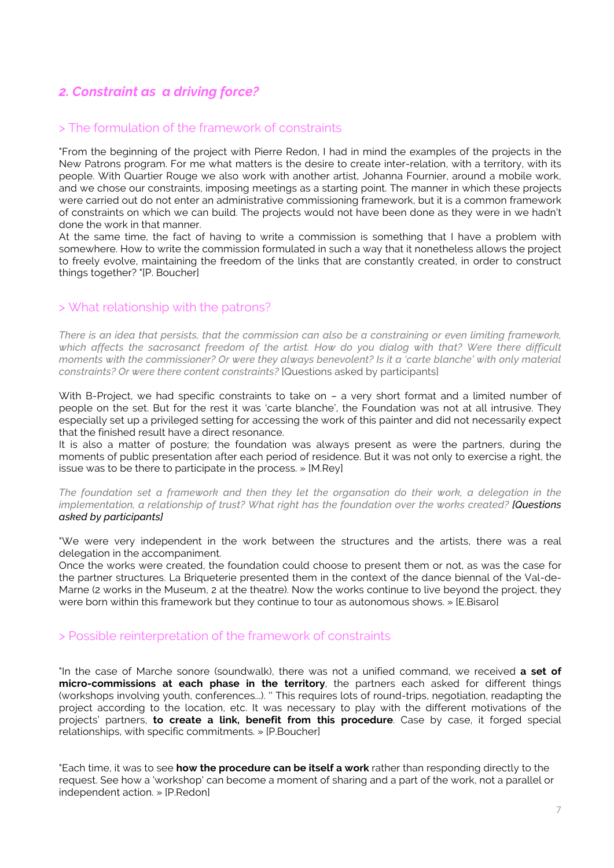## *2. Constraint as a driving force?*

## > The formulation of the framework of constraints

"From the beginning of the project with Pierre Redon, I had in mind the examples of the projects in the New Patrons program. For me what matters is the desire to create inter-relation, with a territory, with its people. With Quartier Rouge we also work with another artist, Johanna Fournier, around a mobile work, and we chose our constraints, imposing meetings as a starting point. The manner in which these projects were carried out do not enter an administrative commissioning framework, but it is a common framework of constraints on which we can build. The projects would not have been done as they were in we hadn't done the work in that manner.

At the same time, the fact of having to write a commission is something that I have a problem with somewhere. How to write the commission formulated in such a way that it nonetheless allows the project to freely evolve, maintaining the freedom of the links that are constantly created, in order to construct things together? "[P. Boucher]

## > What relationship with the patrons?

*There is an idea that persists, that the commission can also be a constraining or even limiting framework, which affects the sacrosanct freedom of the artist. How do you dialog with that? Were there difficult moments with the commissioner? Or were they always benevolent? Is it a 'carte blanche' with only material constraints? Or were there content constraints?* [Questions asked by participants]

With B-Project, we had specific constraints to take on – a very short format and a limited number of people on the set. But for the rest it was 'carte blanche', the Foundation was not at all intrusive. They especially set up a privileged setting for accessing the work of this painter and did not necessarily expect that the finished result have a direct resonance.

It is also a matter of posture; the foundation was always present as were the partners, during the moments of public presentation after each period of residence. But it was not only to exercise a right, the issue was to be there to participate in the process. » [M.Rey]

*The foundation set a framework and then they let the organsation do their work, a delegation in the implementation, a relationship of trust? What right has the foundation over the works created? [Questions asked by participants]*

"We were very independent in the work between the structures and the artists, there was a real delegation in the accompaniment.

Once the works were created, the foundation could choose to present them or not, as was the case for the partner structures. La Briqueterie presented them in the context of the dance biennal of the Val-de-Marne (2 works in the Museum, 2 at the theatre). Now the works continue to live beyond the project, they were born within this framework but they continue to tour as autonomous shows. » [E.Bisaro]

## > Possible reinterpretation of the framework of constraints

"In the case of Marche sonore (soundwalk), there was not a unified command, we received **a set of micro-commissions at each phase in the territory**, the partners each asked for different things (workshops involving youth, conferences...). '' This requires lots of round-trips, negotiation, readapting the project according to the location, etc. It was necessary to play with the different motivations of the projects' partners, **to create a link, benefit from this procedure**. Case by case, it forged special relationships, with specific commitments. » [P.Boucher]

"Each time, it was to see **how the procedure can be itself a work** rather than responding directly to the request. See how a 'workshop' can become a moment of sharing and a part of the work, not a parallel or independent action. » [P.Redon]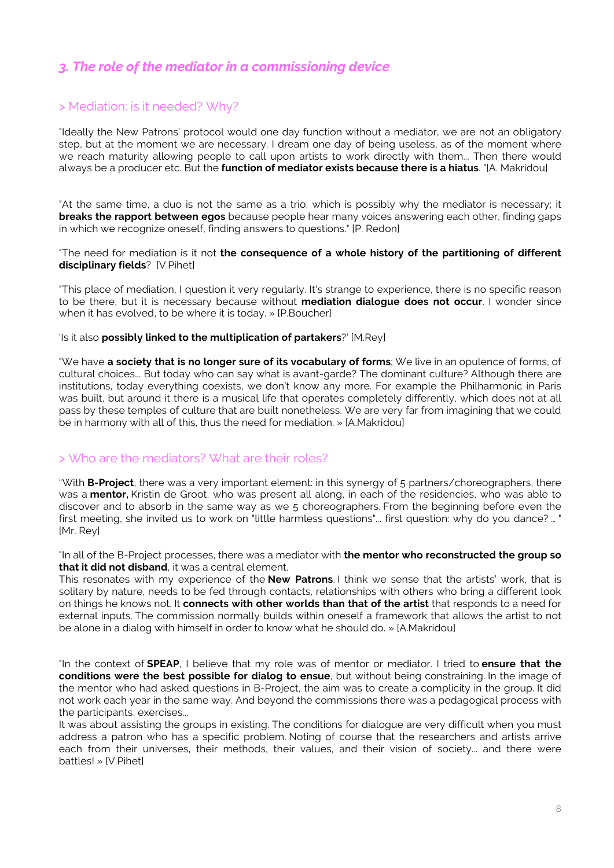## *3. The role of the mediator in a commissioning device*

## > Mediation: is it needed? Why?

"Ideally the New Patrons' protocol would one day function without a mediator, we are not an obligatory step, but at the moment we are necessary. I dream one day of being useless, as of the moment where we reach maturity allowing people to call upon artists to work directly with them... Then there would always be a producer etc. But the **function of mediator exists because there is a hiatus**. "[A. Makridou]

"At the same time, a duo is not the same as a trio, which is possibly why the mediator is necessary; it **breaks the rapport between egos** because people hear many voices answering each other, finding gaps in which we recognize oneself, finding answers to questions." [P. Redon]

"The need for mediation is it not **the consequence of a whole history of the partitioning of different disciplinary fields**? [V.Pihet]

"This place of mediation, I question it very regularly. It's strange to experience, there is no specific reason to be there, but it is necessary because without **mediation dialogue does not occur**. I wonder since when it has evolved, to be where it is today. » [P.Boucher]

## 'Is it also **possibly linked to the multiplication of partakers**?' [M.Rey]

"We have **a society that is no longer sure of its vocabulary of forms**; We live in an opulence of forms, of cultural choices... But today who can say what is avant-garde? The dominant culture? Although there are institutions, today everything coexists, we don't know any more. For example the Philharmonic in Paris was built, but around it there is a musical life that operates completely differently, which does not at all pass by these temples of culture that are built nonetheless. We are very far from imagining that we could be in harmony with all of this, thus the need for mediation. » [A.Makridou]

## > Who are the mediators? What are their roles?

"With **B-Project**, there was a very important element: in this synergy of 5 partners/choreographers, there was a **mentor,** Kristin de Groot, who was present all along, in each of the residencies, who was able to discover and to absorb in the same way as we 5 choreographers. From the beginning before even the first meeting, she invited us to work on "little harmless questions"... first question: why do you dance? ... ' [Mr. Rey]

"In all of the B-Project processes, there was a mediator with **the mentor who reconstructed the group so that it did not disband**, it was a central element.

This resonates with my experience of the **New Patrons**. I think we sense that the artists' work, that is solitary by nature, needs to be fed through contacts, relationships with others who bring a different look on things he knows not. It **connects with other worlds than that of the artist** that responds to a need for external inputs. The commission normally builds within oneself a framework that allows the artist to not be alone in a dialog with himself in order to know what he should do. » [A.Makridou]

"In the context of **SPEAP**, I believe that my role was of mentor or mediator. I tried to **ensure that the conditions were the best possible for dialog to ensue**, but without being constraining. In the image of the mentor who had asked questions in B-Project, the aim was to create a complicity in the group. It did not work each year in the same way. And beyond the commissions there was a pedagogical process with the participants, exercises...

It was about assisting the groups in existing. The conditions for dialogue are very difficult when you must address a patron who has a specific problem. Noting of course that the researchers and artists arrive each from their universes, their methods, their values, and their vision of society... and there were battles! » [V.Pihet]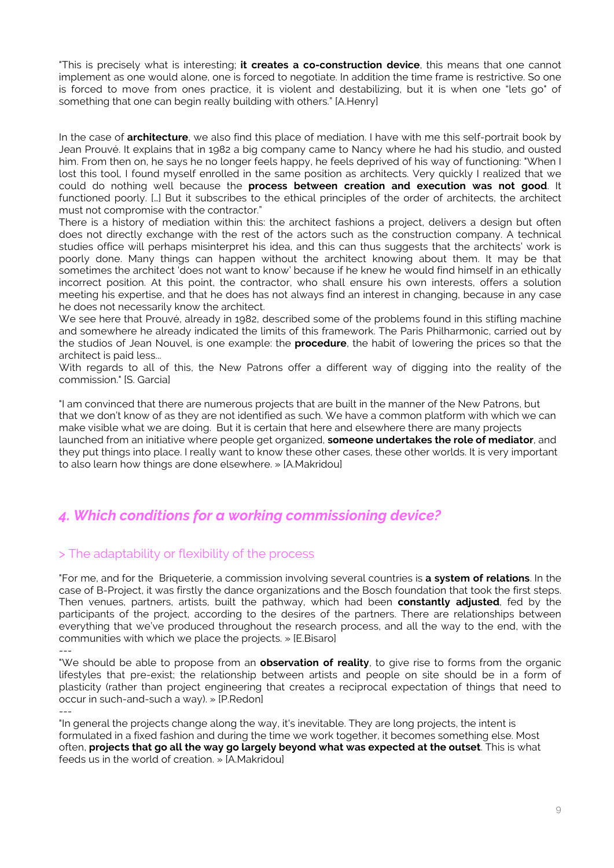"This is precisely what is interesting; **it creates a co-construction device**, this means that one cannot implement as one would alone, one is forced to negotiate. In addition the time frame is restrictive. So one is forced to move from ones practice, it is violent and destabilizing, but it is when one "lets go" of something that one can begin really building with others." [A.Henry]

In the case of **architecture**, we also find this place of mediation. I have with me this self-portrait book by Jean Prouvé. It explains that in 1982 a big company came to Nancy where he had his studio, and ousted him. From then on, he says he no longer feels happy, he feels deprived of his way of functioning: "When I lost this tool, I found myself enrolled in the same position as architects. Very quickly I realized that we could do nothing well because the **process between creation and execution was not good**. It functioned poorly. […] But it subscribes to the ethical principles of the order of architects, the architect must not compromise with the contractor."

There is a history of mediation within this: the architect fashions a project, delivers a design but often does not directly exchange with the rest of the actors such as the construction company. A technical studies office will perhaps misinterpret his idea, and this can thus suggests that the architects' work is poorly done. Many things can happen without the architect knowing about them. It may be that sometimes the architect 'does not want to know' because if he knew he would find himself in an ethically incorrect position. At this point, the contractor, who shall ensure his own interests, offers a solution meeting his expertise, and that he does has not always find an interest in changing, because in any case he does not necessarily know the architect.

We see here that Prouvé, already in 1982, described some of the problems found in this stifling machine and somewhere he already indicated the limits of this framework. The Paris Philharmonic, carried out by the studios of Jean Nouvel, is one example: the **procedure**, the habit of lowering the prices so that the architect is paid less...

With regards to all of this, the New Patrons offer a different way of digging into the reality of the commission." [S. Garcia]

"I am convinced that there are numerous projects that are built in the manner of the New Patrons, but that we don't know of as they are not identified as such. We have a common platform with which we can make visible what we are doing. But it is certain that here and elsewhere there are many projects launched from an initiative where people get organized, **someone undertakes the role of mediator**, and they put things into place. I really want to know these other cases, these other worlds. It is very important to also learn how things are done elsewhere. » [A.Makridou]

## *4. Which conditions for a working commissioning device?*

## > The adaptability or flexibility of the process

"For me, and for the Briqueterie, a commission involving several countries is **a system of relations**. In the case of B-Project, it was firstly the dance organizations and the Bosch foundation that took the first steps. Then venues, partners, artists, built the pathway, which had been **constantly adjusted**, fed by the participants of the project, according to the desires of the partners. There are relationships between everything that we've produced throughout the research process, and all the way to the end, with the communities with which we place the projects. » [E.Bisaro]

"We should be able to propose from an **observation of reality**, to give rise to forms from the organic lifestyles that pre-exist; the relationship between artists and people on site should be in a form of plasticity (rather than project engineering that creates a reciprocal expectation of things that need to occur in such-and-such a way). » [P.Redon]

---

"In general the projects change along the way, it's inevitable. They are long projects, the intent is formulated in a fixed fashion and during the time we work together, it becomes something else. Most often, **projects that go all the way go largely beyond what was expected at the outset**. This is what feeds us in the world of creation. » [A.Makridou]

<sup>---</sup>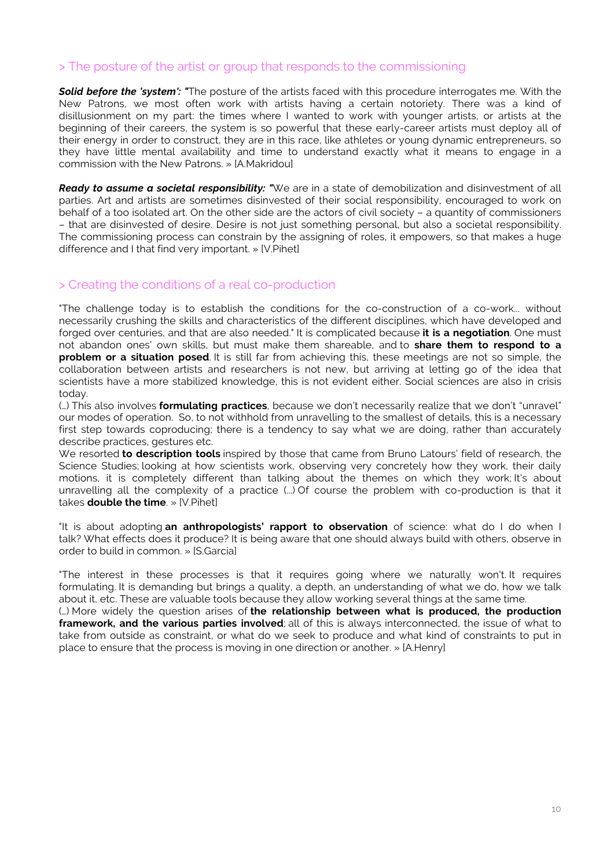## > The posture of the artist or group that responds to the commissioning

**Solid before the 'system': "**The posture of the artists faced with this procedure interrogates me. With the New Patrons, we most often work with artists having a certain notoriety. There was a kind of disillusionment on my part: the times where I wanted to work with younger artists, or artists at the beginning of their careers, the system is so powerful that these early-career artists must deploy all of their energy in order to construct, they are in this race, like athletes or young dynamic entrepreneurs, so they have little mental availability and time to understand exactly what it means to engage in a commission with the New Patrons. » [A.Makridou]

*Ready to assume a societal responsibility: "*We are in a state of demobilization and disinvestment of all parties. Art and artists are sometimes disinvested of their social responsibility, encouraged to work on behalf of a too isolated art. On the other side are the actors of civil society – a quantity of commissioners – that are disinvested of desire. Desire is not just something personal, but also a societal responsibility. The commissioning process can constrain by the assigning of roles, it empowers, so that makes a huge difference and I that find very important. » [V.Pihet]

## > Creating the conditions of a real co-production

"The challenge today is to establish the conditions for the co-construction of a co-work... without necessarily crushing the skills and characteristics of the different disciplines, which have developed and forged over centuries, and that are also needed." It is complicated because **it is a negotiation**. One must not abandon ones' own skills, but must make them shareable, and to **share them to respond to a problem or a situation posed**. It is still far from achieving this, these meetings are not so simple, the collaboration between artists and researchers is not new, but arriving at letting go of the idea that scientists have a more stabilized knowledge, this is not evident either. Social sciences are also in crisis today.

(…) This also involves **formulating practices**, because we don't necessarily realize that we don't "unravel" our modes of operation. So, to not withhold from unravelling to the smallest of details, this is a necessary first step towards coproducing; there is a tendency to say what we are doing, rather than accurately describe practices, gestures etc.

We resorted **to description tools** inspired by those that came from Bruno Latours' field of research, the Science Studies; looking at how scientists work, observing very concretely how they work, their daily motions, it is completely different than talking about the themes on which they work; It's about unravelling all the complexity of a practice (...) Of course the problem with co-production is that it takes **double the time**. » [V.Pihet]

"It is about adopting **an anthropologists' rapport to observation** of science: what do I do when I talk? What effects does it produce? It is being aware that one should always build with others, observe in order to build in common. » [S.Garcia]

"The interest in these processes is that it requires going where we naturally won't. It requires formulating. It is demanding but brings a quality, a depth, an understanding of what we do, how we talk about it, etc. These are valuable tools because they allow working several things at the same time.

(…) More widely the question arises of **the relationship between what is produced, the production framework, and the various parties involved**; all of this is always interconnected, the issue of what to take from outside as constraint, or what do we seek to produce and what kind of constraints to put in place to ensure that the process is moving in one direction or another. » [A.Henry]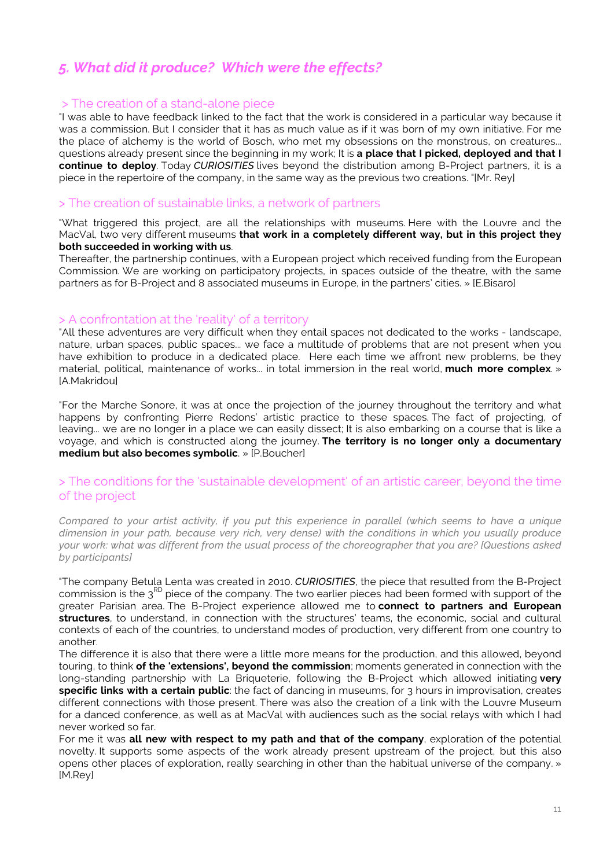## *5. What did it produce? Which were the effects?*

## > The creation of a stand-alone piece

"I was able to have feedback linked to the fact that the work is considered in a particular way because it was a commission. But I consider that it has as much value as if it was born of my own initiative. For me the place of alchemy is the world of Bosch, who met my obsessions on the monstrous, on creatures... questions already present since the beginning in my work; It is **a place that I picked, deployed and that I continue to deploy**. Today *CURIOSITIES* lives beyond the distribution among B-Project partners, it is a piece in the repertoire of the company, in the same way as the previous two creations. "[Mr. Rey]

## > The creation of sustainable links, a network of partners

"What triggered this project, are all the relationships with museums. Here with the Louvre and the MacVal, two very different museums **that work in a completely different way, but in this project they both succeeded in working with us**.

Thereafter, the partnership continues, with a European project which received funding from the European Commission. We are working on participatory projects, in spaces outside of the theatre, with the same partners as for B-Project and 8 associated museums in Europe, in the partners' cities. » [E.Bisaro]

## > A confrontation at the 'reality' of a territory

"All these adventures are very difficult when they entail spaces not dedicated to the works - landscape, nature, urban spaces, public spaces... we face a multitude of problems that are not present when you have exhibition to produce in a dedicated place. Here each time we affront new problems, be they material, political, maintenance of works... in total immersion in the real world, **much more complex**. » [A.Makridou]

"For the Marche Sonore, it was at once the projection of the journey throughout the territory and what happens by confronting Pierre Redons' artistic practice to these spaces. The fact of projecting, of leaving... we are no longer in a place we can easily dissect; It is also embarking on a course that is like a voyage, and which is constructed along the journey. **The territory is no longer only a documentary medium but also becomes symbolic**. » [P.Boucher]

## > The conditions for the 'sustainable development' of an artistic career, beyond the time of the project

*Compared to your artist activity, if you put this experience in parallel (which seems to have a unique dimension in your path, because very rich, very dense) with the conditions in which you usually produce your work: what was different from the usual process of the choreographer that you are? [Questions asked by participants]*

"The company Betula Lenta was created in 2010. *CURIOSITIES*, the piece that resulted from the B-Project commission is the 3<sup>RD</sup> piece of the company. The two earlier pieces had been formed with support of the greater Parisian area. The B-Project experience allowed me to **connect to partners and European structures**, to understand, in connection with the structures' teams, the economic, social and cultural contexts of each of the countries, to understand modes of production, very different from one country to another.

The difference it is also that there were a little more means for the production, and this allowed, beyond touring, to think **of the 'extensions', beyond the commission**; moments generated in connection with the long-standing partnership with La Briqueterie, following the B-Project which allowed initiating **very specific links with a certain public**: the fact of dancing in museums, for 3 hours in improvisation, creates different connections with those present. There was also the creation of a link with the Louvre Museum for a danced conference, as well as at MacVal with audiences such as the social relays with which I had never worked so far.

For me it was **all new with respect to my path and that of the company**, exploration of the potential novelty. It supports some aspects of the work already present upstream of the project, but this also opens other places of exploration, really searching in other than the habitual universe of the company. » [M.Rey]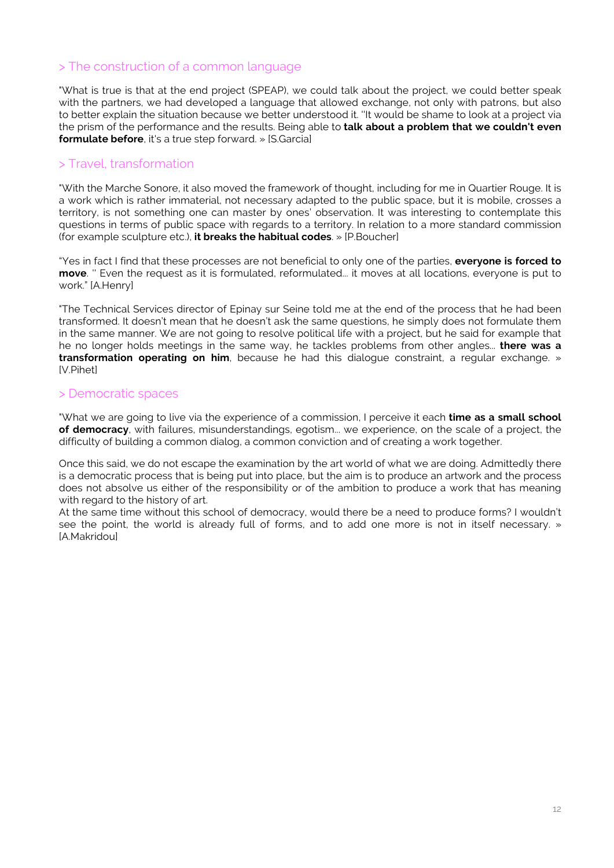## > The construction of a common language

"What is true is that at the end project (SPEAP), we could talk about the project, we could better speak with the partners, we had developed a language that allowed exchange, not only with patrons, but also to better explain the situation because we better understood it. ''It would be shame to look at a project via the prism of the performance and the results. Being able to **talk about a problem that we couldn't even formulate before**, it's a true step forward. » [S.Garcia]

## > Travel, transformation

"With the Marche Sonore, it also moved the framework of thought, including for me in Quartier Rouge. It is a work which is rather immaterial, not necessary adapted to the public space, but it is mobile, crosses a territory, is not something one can master by ones' observation. It was interesting to contemplate this questions in terms of public space with regards to a territory. In relation to a more standard commission (for example sculpture etc.), **it breaks the habitual codes**. » [P.Boucher]

"Yes in fact I find that these processes are not beneficial to only one of the parties, **everyone is forced to move**. '' Even the request as it is formulated, reformulated... it moves at all locations, everyone is put to work." [A.Henry]

"The Technical Services director of Epinay sur Seine told me at the end of the process that he had been transformed. It doesn't mean that he doesn't ask the same questions, he simply does not formulate them in the same manner. We are not going to resolve political life with a project, but he said for example that he no longer holds meetings in the same way, he tackles problems from other angles... **there was a transformation operating on him**, because he had this dialogue constraint, a regular exchange. » [V.Pihet]

## > Democratic spaces

"What we are going to live via the experience of a commission, I perceive it each **time as a small school of democracy**, with failures, misunderstandings, egotism... we experience, on the scale of a project, the difficulty of building a common dialog, a common conviction and of creating a work together.

Once this said, we do not escape the examination by the art world of what we are doing. Admittedly there is a democratic process that is being put into place, but the aim is to produce an artwork and the process does not absolve us either of the responsibility or of the ambition to produce a work that has meaning with regard to the history of art.

At the same time without this school of democracy, would there be a need to produce forms? I wouldn't see the point, the world is already full of forms, and to add one more is not in itself necessary. » [A.Makridou]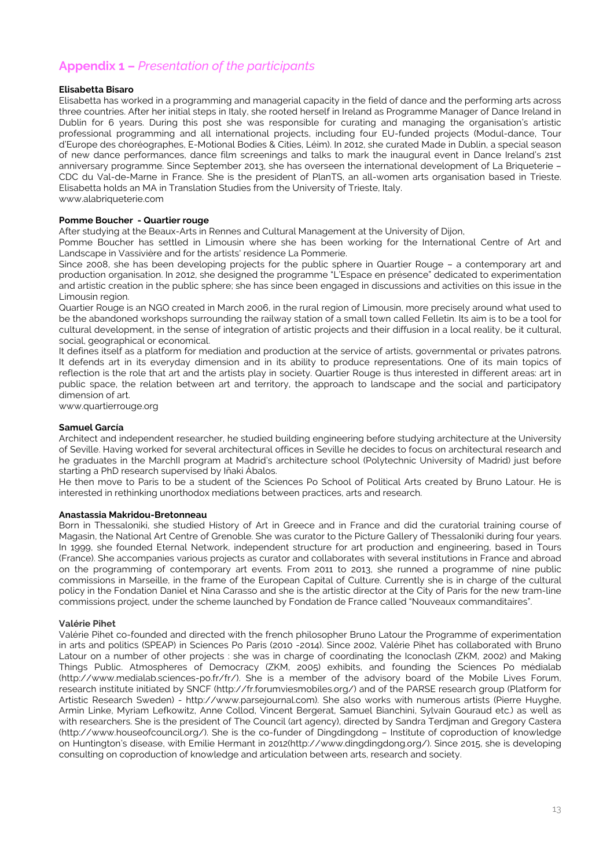## **Appendix 1 –** *Presentation of the participants*

## **Elisabetta Bisaro**

Elisabetta has worked in a programming and managerial capacity in the field of dance and the performing arts across three countries. After her initial steps in Italy, she rooted herself in Ireland as Programme Manager of Dance Ireland in Dublin for 6 years. During this post she was responsible for curating and managing the organisation's artistic professional programming and all international projects, including four EU-funded projects (Modul-dance, Tour d'Europe des choréographes, E-Motional Bodies & Cities, Léim). In 2012, she curated Made in Dublin, a special season of new dance performances, dance film screenings and talks to mark the inaugural event in Dance Ireland's 21st anniversary programme. Since September 2013, she has overseen the international development of La Briqueterie – CDC du Val-de-Marne in France. She is the president of PlanTS, an all-women arts organisation based in Trieste. Elisabetta holds an MA in Translation Studies from the University of Trieste, Italy. www.alabriqueterie.com

### **Pomme Boucher - Quartier rouge**

After studying at the Beaux-Arts in Rennes and Cultural Management at the University of Dijon,

Pomme Boucher has settled in Limousin where she has been working for the International Centre of Art and Landscape in Vassivière and for the artists' residence La Pommerie.

Since 2008, she has been developing projects for the public sphere in Quartier Rouge – a contemporary art and production organisation. In 2012, she designed the programme "L'Espace en présence" dedicated to experimentation and artistic creation in the public sphere; she has since been engaged in discussions and activities on this issue in the Limousin region.

Quartier Rouge is an NGO created in March 2006, in the rural region of Limousin, more precisely around what used to be the abandoned workshops surrounding the railway station of a small town called Felletin. Its aim is to be a tool for cultural development, in the sense of integration of artistic projects and their diffusion in a local reality, be it cultural, social, geographical or economical.

It defines itself as a platform for mediation and production at the service of artists, governmental or privates patrons. It defends art in its everyday dimension and in its ability to produce representations. One of its main topics of reflection is the role that art and the artists play in society. Quartier Rouge is thus interested in different areas: art in public space, the relation between art and territory, the approach to landscape and the social and participatory dimension of art.

www.quartierrouge.org

### **Samuel García**

Architect and independent researcher, he studied building engineering before studying architecture at the University of Seville. Having worked for several architectural offices in Seville he decides to focus on architectural research and he graduates in the MarchII program at Madrid's architecture school (Polytechnic University of Madrid) just before starting a PhD research supervised by Iñaki Ábalos.

He then move to Paris to be a student of the Sciences Po School of Political Arts created by Bruno Latour. He is interested in rethinking unorthodox mediations between practices, arts and research.

## **Anastassia Makridou-Bretonneau**

Born in Thessaloniki, she studied History of Art in Greece and in France and did the curatorial training course of Magasin, the National Art Centre of Grenoble. She was curator to the Picture Gallery of Thessaloniki during four years. In 1999, she founded Eternal Network, independent structure for art production and engineering, based in Tours (France). She accompanies various projects as curator and collaborates with several institutions in France and abroad on the programming of contemporary art events. From 2011 to 2013, she runned a programme of nine public commissions in Marseille, in the frame of the European Capital of Culture. Currently she is in charge of the cultural policy in the Fondation Daniel et Nina Carasso and she is the artistic director at the City of Paris for the new tram-line commissions project, under the scheme launched by Fondation de France called "Nouveaux commanditaires".

#### **Valérie Pihet**

Valérie Pihet co-founded and directed with the french philosopher Bruno Latour the Programme of experimentation in arts and politics (SPEAP) in Sciences Po Paris (2010 -2014). Since 2002, Valérie Pihet has collaborated with Bruno Latour on a number of other projects : she was in charge of coordinating the Iconoclash (ZKM, 2002) and Making Things Public. Atmospheres of Democracy (ZKM, 2005) exhibits, and founding the Sciences Po médialab (http://www.medialab.sciences-po.fr/fr/). She is a member of the advisory board of the Mobile Lives Forum, research institute initiated by SNCF (http://fr.forumviesmobiles.org/) and of the PARSE research group (Platform for Artistic Research Sweden) - http://www.parsejournal.com). She also works with numerous artists (Pierre Huyghe, Armin Linke, Myriam Lefkowitz, Anne Collod, Vincent Bergerat, Samuel Bianchini, Sylvain Gouraud etc.) as well as with researchers. She is the president of The Council (art agency), directed by Sandra Terdjman and Gregory Castera (http://www.houseofcouncil.org/). She is the co-funder of Dingdingdong – Institute of coproduction of knowledge on Huntington's disease, with Emilie Hermant in 2012(http://www.dingdingdong.org/). Since 2015, she is developing consulting on coproduction of knowledge and articulation between arts, research and society.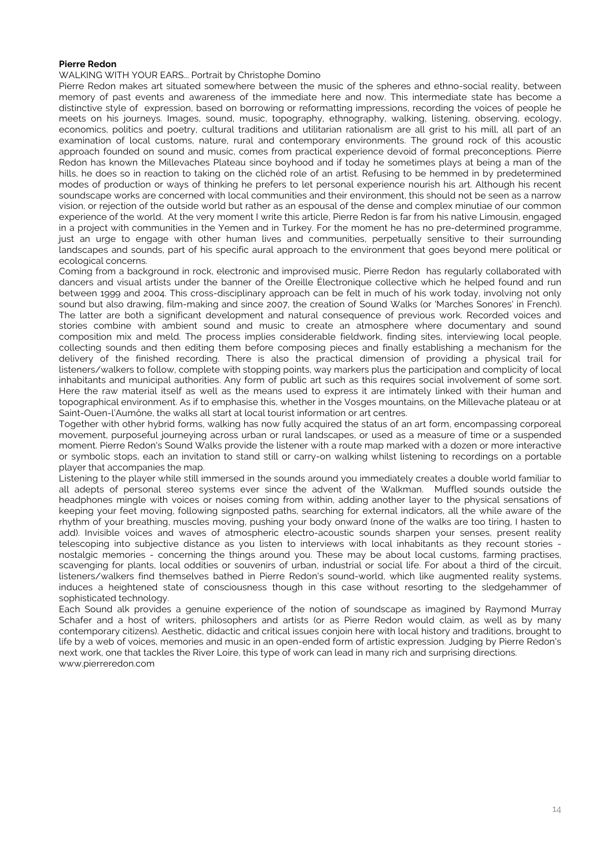### **Pierre Redon**

### WALKING WITH YOUR EARS... Portrait by Christophe Domino

Pierre Redon makes art situated somewhere between the music of the spheres and ethno-social reality, between memory of past events and awareness of the immediate here and now. This intermediate state has become a distinctive style of expression, based on borrowing or reformatting impressions, recording the voices of people he meets on his journeys. Images, sound, music, topography, ethnography, walking, listening, observing, ecology, economics, politics and poetry, cultural traditions and utilitarian rationalism are all grist to his mill, all part of an examination of local customs, nature, rural and contemporary environments. The ground rock of this acoustic approach founded on sound and music, comes from practical experience devoid of formal preconceptions. Pierre Redon has known the Millevaches Plateau since boyhood and if today he sometimes plays at being a man of the hills, he does so in reaction to taking on the clichéd role of an artist. Refusing to be hemmed in by predetermined modes of production or ways of thinking he prefers to let personal experience nourish his art. Although his recent soundscape works are concerned with local communities and their environment, this should not be seen as a narrow vision, or rejection of the outside world but rather as an espousal of the dense and complex minutiae of our common experience of the world. At the very moment I write this article, Pierre Redon is far from his native Limousin, engaged in a project with communities in the Yemen and in Turkey. For the moment he has no pre-determined programme, just an urge to engage with other human lives and communities, perpetually sensitive to their surrounding landscapes and sounds, part of his specific aural approach to the environment that goes beyond mere political or ecological concerns.

Coming from a background in rock, electronic and improvised music, Pierre Redon has regularly collaborated with dancers and visual artists under the banner of the Oreille Électronique collective which he helped found and run between 1999 and 2004. This cross-disciplinary approach can be felt in much of his work today, involving not only sound but also drawing, film-making and since 2007, the creation of Sound Walks (or 'Marches Sonores' in French). The latter are both a significant development and natural consequence of previous work. Recorded voices and stories combine with ambient sound and music to create an atmosphere where documentary and sound composition mix and meld. The process implies considerable fieldwork, finding sites, interviewing local people, collecting sounds and then editing them before composing pieces and finally establishing a mechanism for the delivery of the finished recording. There is also the practical dimension of providing a physical trail for listeners/walkers to follow, complete with stopping points, way markers plus the participation and complicity of local inhabitants and municipal authorities. Any form of public art such as this requires social involvement of some sort. Here the raw material itself as well as the means used to express it are intimately linked with their human and topographical environment. As if to emphasise this, whether in the Vosges mountains, on the Millevache plateau or at Saint-Ouen-l'Aumône, the walks all start at local tourist information or art centres.

Together with other hybrid forms, walking has now fully acquired the status of an art form, encompassing corporeal movement, purposeful journeying across urban or rural landscapes, or used as a measure of time or a suspended moment. Pierre Redon's Sound Walks provide the listener with a route map marked with a dozen or more interactive or symbolic stops, each an invitation to stand still or carry-on walking whilst listening to recordings on a portable player that accompanies the map.

Listening to the player while still immersed in the sounds around you immediately creates a double world familiar to all adepts of personal stereo systems ever since the advent of the Walkman. Muffled sounds outside the headphones mingle with voices or noises coming from within, adding another layer to the physical sensations of keeping your feet moving, following signposted paths, searching for external indicators, all the while aware of the rhythm of your breathing, muscles moving, pushing your body onward (none of the walks are too tiring, I hasten to add). Invisible voices and waves of atmospheric electro-acoustic sounds sharpen your senses, present reality telescoping into subjective distance as you listen to interviews with local inhabitants as they recount stories nostalgic memories - concerning the things around you. These may be about local customs, farming practises, scavenging for plants, local oddities or souvenirs of urban, industrial or social life. For about a third of the circuit, listeners/walkers find themselves bathed in Pierre Redon's sound-world, which like augmented reality systems, induces a heightened state of consciousness though in this case without resorting to the sledgehammer of sophisticated technology.

Each Sound alk provides a genuine experience of the notion of soundscape as imagined by Raymond Murray Schafer and a host of writers, philosophers and artists (or as Pierre Redon would claim, as well as by many contemporary citizens). Aesthetic, didactic and critical issues conjoin here with local history and traditions, brought to life by a web of voices, memories and music in an open-ended form of artistic expression. Judging by Pierre Redon's next work, one that tackles the River Loire, this type of work can lead in many rich and surprising directions. www.pierreredon.com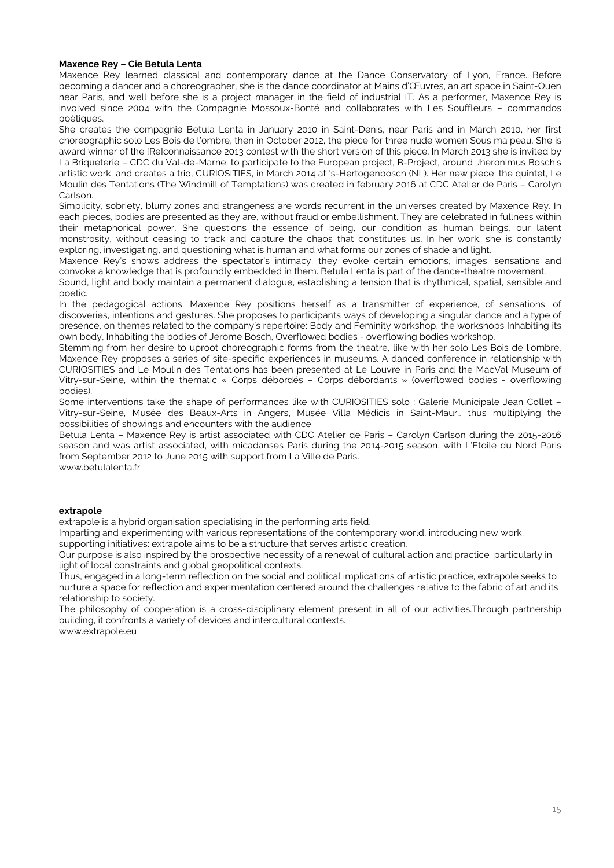### **Maxence Rey – Cie Betula Lenta**

Maxence Rey learned classical and contemporary dance at the Dance Conservatory of Lyon, France. Before becoming a dancer and a choreographer, she is the dance coordinator at Mains d'Œuvres, an art space in Saint-Ouen near Paris, and well before she is a project manager in the field of industrial IT. As a performer, Maxence Rey is involved since 2004 with the Compagnie Mossoux-Bonté and collaborates with Les Souffleurs – commandos poétiques.

She creates the compagnie Betula Lenta in January 2010 in Saint-Denis, near Paris and in March 2010, her first choreographic solo Les Bois de l'ombre, then in October 2012, the piece for three nude women Sous ma peau. She is award winner of the [Re]connaissance 2013 contest with the short version of this piece. In March 2013 she is invited by La Briqueterie – CDC du Val-de-Marne, to participate to the European project, B-Project, around Jheronimus Bosch's artistic work, and creates a trio, CURIOSITIES, in March 2014 at 's-Hertogenbosch (NL). Her new piece, the quintet, Le Moulin des Tentations (The Windmill of Temptations) was created in february 2016 at CDC Atelier de Paris – Carolyn Carlson.

Simplicity, sobriety, blurry zones and strangeness are words recurrent in the universes created by Maxence Rey. In each pieces, bodies are presented as they are, without fraud or embellishment. They are celebrated in fullness within their metaphorical power. She questions the essence of being, our condition as human beings, our latent monstrosity, without ceasing to track and capture the chaos that constitutes us. In her work, she is constantly exploring, investigating, and questioning what is human and what forms our zones of shade and light.

Maxence Rey's shows address the spectator's intimacy, they evoke certain emotions, images, sensations and convoke a knowledge that is profoundly embedded in them. Betula Lenta is part of the dance-theatre movement.

Sound, light and body maintain a permanent dialogue, establishing a tension that is rhythmical, spatial, sensible and poetic.

In the pedagogical actions, Maxence Rey positions herself as a transmitter of experience, of sensations, of discoveries, intentions and gestures. She proposes to participants ways of developing a singular dance and a type of presence, on themes related to the company's repertoire: Body and Feminity workshop, the workshops Inhabiting its own body, Inhabiting the bodies of Jerome Bosch, Overflowed bodies - overflowing bodies workshop.

Stemming from her desire to uproot choreographic forms from the theatre, like with her solo Les Bois de l'ombre, Maxence Rey proposes a series of site-specific experiences in museums. A danced conference in relationship with CURIOSITIES and Le Moulin des Tentations has been presented at Le Louvre in Paris and the MacVal Museum of Vitry-sur-Seine, within the thematic « Corps débordés – Corps débordants » (overflowed bodies - overflowing bodies).

Some interventions take the shape of performances like with CURIOSITIES solo : Galerie Municipale Jean Collet – Vitry-sur-Seine, Musée des Beaux-Arts in Angers, Musée Villa Médicis in Saint-Maur… thus multiplying the possibilities of showings and encounters with the audience.

Betula Lenta – Maxence Rey is artist associated with CDC Atelier de Paris – Carolyn Carlson during the 2015-2016 season and was artist associated, with micadanses Paris during the 2014-2015 season, with L'Etoile du Nord Paris from September 2012 to June 2015 with support from La Ville de Paris.

www.betulalenta.fr

#### **extrapole**

extrapole is a hybrid organisation specialising in the performing arts field.

Imparting and experimenting with various representations of the contemporary world, introducing new work,

supporting initiatives: extrapole aims to be a structure that serves artistic creation.

Our purpose is also inspired by the prospective necessity of a renewal of cultural action and practice particularly in light of local constraints and global geopolitical contexts.

Thus, engaged in a long-term reflection on the social and political implications of artistic practice, extrapole seeks to nurture a space for reflection and experimentation centered around the challenges relative to the fabric of art and its relationship to society.

The philosophy of cooperation is a cross-disciplinary element present in all of our activities.Through partnership building, it confronts a variety of devices and intercultural contexts.

www.extrapole.eu